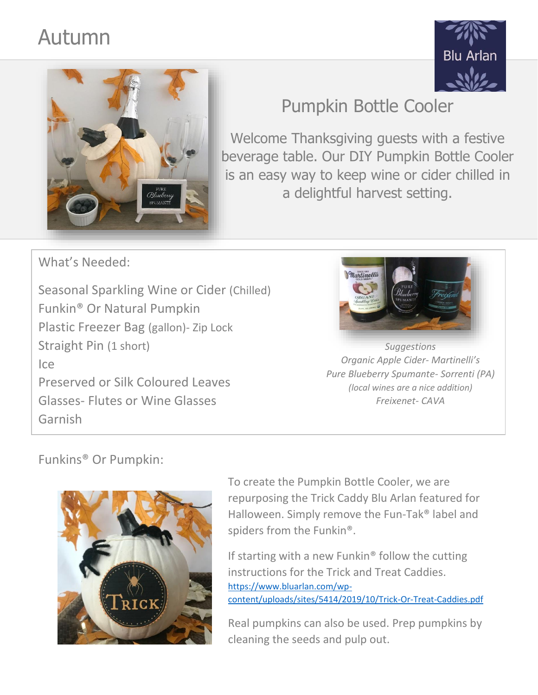## Autumn





## Pumpkin Bottle Cooler

Welcome Thanksgiving guests with a festive beverage table. Our DIY Pumpkin Bottle Cooler is an easy way to keep wine or cider chilled in a delightful harvest setting.

What's Needed:

Seasonal Sparkling Wine or Cider (Chilled) Funkin® Or Natural Pumpkin Plastic Freezer Bag (gallon)- Zip Lock Straight Pin (1 short) Ice Preserved or Silk Coloured Leaves Glasses- Flutes or Wine Glasses Garnish



*Suggestions Organic Apple Cider- Martinelli's Pure Blueberry Spumante- Sorrenti (PA) (local wines are a nice addition) Freixenet- CAVA*

## Funkins® Or Pumpkin:



To create the Pumpkin Bottle Cooler, we are repurposing the Trick Caddy Blu Arlan featured for Halloween. Simply remove the Fun-Tak® label and spiders from the Funkin®.

If starting with a new Funkin<sup>®</sup> follow the cutting instructions for the Trick and Treat Caddies. [https://www.bluarlan.com/wp](https://www.bluarlan.com/wp-content/uploads/sites/5414/2019/10/Trick-Or-Treat-Caddies.pdf)[content/uploads/sites/5414/2019/10/Trick-Or-Treat-Caddies.pdf](https://www.bluarlan.com/wp-content/uploads/sites/5414/2019/10/Trick-Or-Treat-Caddies.pdf)

Real pumpkins can also be used. Prep pumpkins by cleaning the seeds and pulp out.